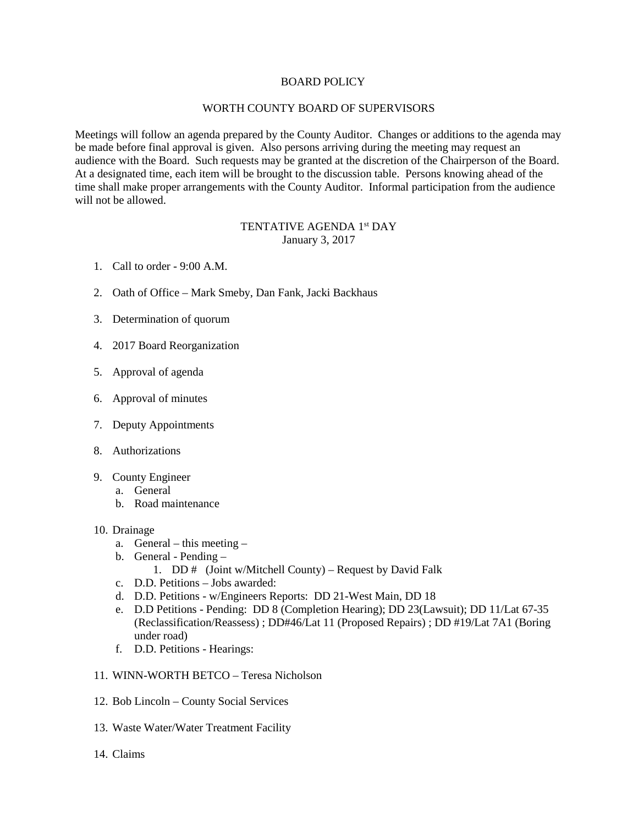## BOARD POLICY

## WORTH COUNTY BOARD OF SUPERVISORS

Meetings will follow an agenda prepared by the County Auditor. Changes or additions to the agenda may be made before final approval is given. Also persons arriving during the meeting may request an audience with the Board. Such requests may be granted at the discretion of the Chairperson of the Board. At a designated time, each item will be brought to the discussion table. Persons knowing ahead of the time shall make proper arrangements with the County Auditor. Informal participation from the audience will not be allowed.

## TENTATIVE AGENDA 1st DAY January 3, 2017

- 1. Call to order 9:00 A.M.
- 2. Oath of Office Mark Smeby, Dan Fank, Jacki Backhaus
- 3. Determination of quorum
- 4. 2017 Board Reorganization
- 5. Approval of agenda
- 6. Approval of minutes
- 7. Deputy Appointments
- 8. Authorizations
- 9. County Engineer
	- a. General
	- b. Road maintenance
- 10. Drainage
	- a. General this meeting –
	- b. General Pending
		- 1. DD # (Joint w/Mitchell County) Request by David Falk
	- c. D.D. Petitions Jobs awarded:
	- d. D.D. Petitions w/Engineers Reports: DD 21-West Main, DD 18
	- e. D.D Petitions Pending: DD 8 (Completion Hearing); DD 23(Lawsuit); DD 11/Lat 67-35 (Reclassification/Reassess) ; DD#46/Lat 11 (Proposed Repairs) ; DD #19/Lat 7A1 (Boring under road)
	- f. D.D. Petitions Hearings:
- 11. WINN-WORTH BETCO Teresa Nicholson
- 12. Bob Lincoln County Social Services
- 13. Waste Water/Water Treatment Facility
- 14. Claims